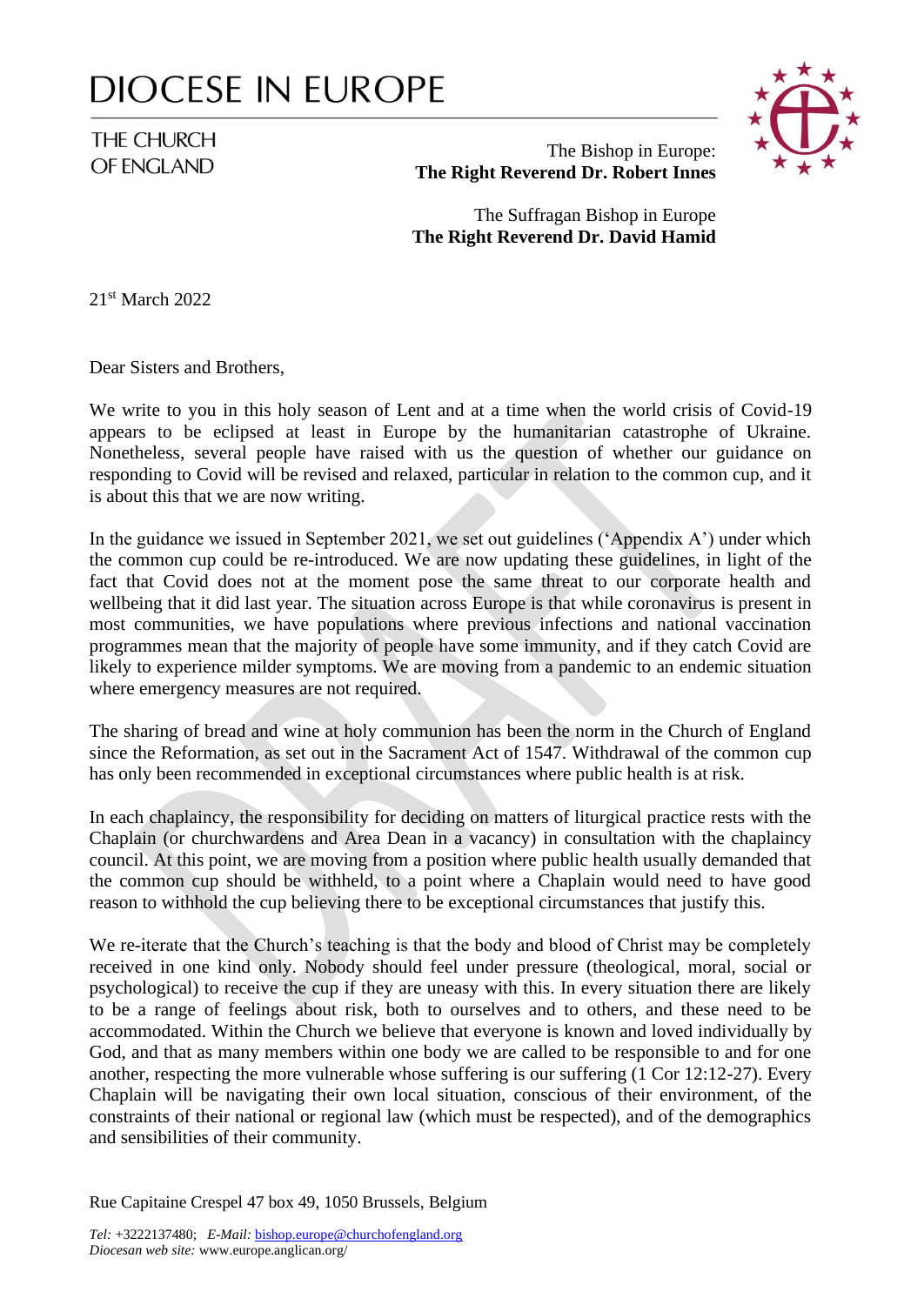## **DIOCESE IN EUROPE**

## THE CHURCH OF ENGLAND



## The Bishop in Europe: **The Right Reverend Dr. Robert Innes**

The Suffragan Bishop in Europe **The Right Reverend Dr. David Hamid**

21st March 2022

Dear Sisters and Brothers,

We write to you in this holy season of Lent and at a time when the world crisis of Covid-19 appears to be eclipsed at least in Europe by the humanitarian catastrophe of Ukraine. Nonetheless, several people have raised with us the question of whether our guidance on responding to Covid will be revised and relaxed, particular in relation to the common cup, and it is about this that we are now writing.

In the guidance we issued in September 2021, we set out guidelines ('Appendix A') under which the common cup could be re-introduced. We are now updating these guidelines, in light of the fact that Covid does not at the moment pose the same threat to our corporate health and wellbeing that it did last year. The situation across Europe is that while coronavirus is present in most communities, we have populations where previous infections and national vaccination programmes mean that the majority of people have some immunity, and if they catch Covid are likely to experience milder symptoms. We are moving from a pandemic to an endemic situation where emergency measures are not required.

The sharing of bread and wine at holy communion has been the norm in the Church of England since the Reformation, as set out in the Sacrament Act of 1547. Withdrawal of the common cup has only been recommended in exceptional circumstances where public health is at risk.

In each chaplaincy, the responsibility for deciding on matters of liturgical practice rests with the Chaplain (or churchwardens and Area Dean in a vacancy) in consultation with the chaplaincy council. At this point, we are moving from a position where public health usually demanded that the common cup should be withheld, to a point where a Chaplain would need to have good reason to withhold the cup believing there to be exceptional circumstances that justify this.

We re-iterate that the Church's teaching is that the body and blood of Christ may be completely received in one kind only. Nobody should feel under pressure (theological, moral, social or psychological) to receive the cup if they are uneasy with this. In every situation there are likely to be a range of feelings about risk, both to ourselves and to others, and these need to be accommodated. Within the Church we believe that everyone is known and loved individually by God, and that as many members within one body we are called to be responsible to and for one another, respecting the more vulnerable whose suffering is our suffering (1 Cor 12:12-27). Every Chaplain will be navigating their own local situation, conscious of their environment, of the constraints of their national or regional law (which must be respected), and of the demographics and sensibilities of their community.

Rue Capitaine Crespel 47 box 49, 1050 Brussels, Belgium